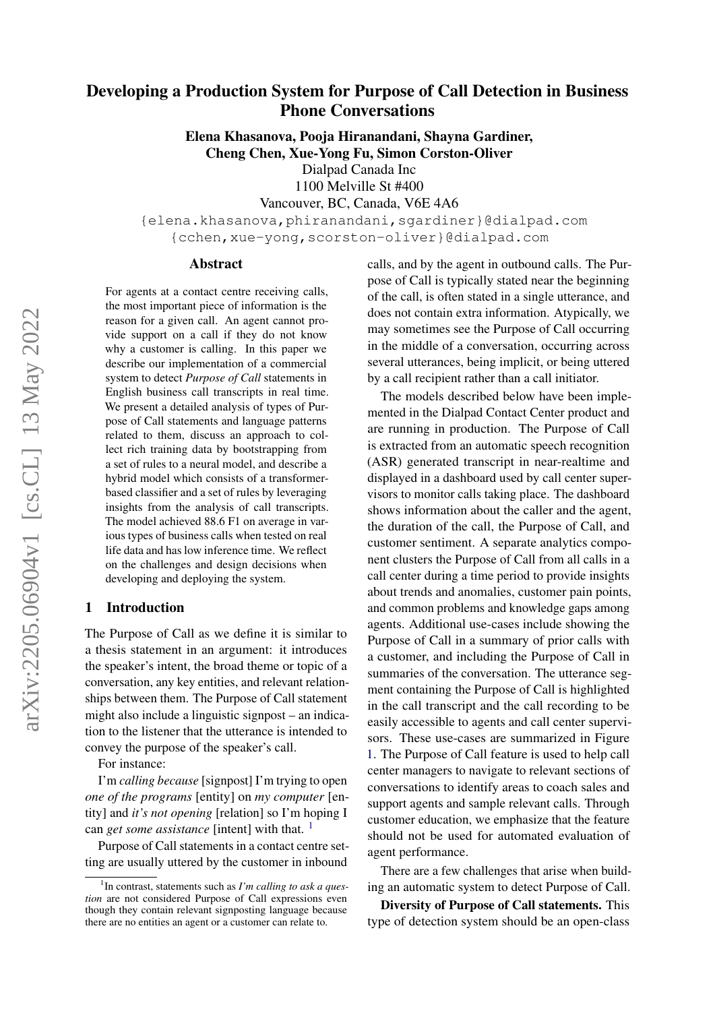# Developing a Production System for Purpose of Call Detection in Business Phone Conversations

Elena Khasanova, Pooja Hiranandani, Shayna Gardiner, Cheng Chen, Xue-Yong Fu, Simon Corston-Oliver

Dialpad Canada Inc

1100 Melville St #400 Vancouver, BC, Canada, V6E 4A6

{elena.khasanova,phiranandani,sgardiner}@dialpad.com {cchen,xue-yong,scorston-oliver}@dialpad.com

#### Abstract

For agents at a contact centre receiving calls, the most important piece of information is the reason for a given call. An agent cannot provide support on a call if they do not know why a customer is calling. In this paper we describe our implementation of a commercial system to detect *Purpose of Call* statements in English business call transcripts in real time. We present a detailed analysis of types of Purpose of Call statements and language patterns related to them, discuss an approach to collect rich training data by bootstrapping from a set of rules to a neural model, and describe a hybrid model which consists of a transformerbased classifier and a set of rules by leveraging insights from the analysis of call transcripts. The model achieved 88.6 F1 on average in various types of business calls when tested on real life data and has low inference time. We reflect on the challenges and design decisions when developing and deploying the system.

#### <span id="page-0-1"></span>1 Introduction

The Purpose of Call as we define it is similar to a thesis statement in an argument: it introduces the speaker's intent, the broad theme or topic of a conversation, any key entities, and relevant relationships between them. The Purpose of Call statement might also include a linguistic signpost – an indication to the listener that the utterance is intended to convey the purpose of the speaker's call.

For instance:

I'm *calling because* [signpost] I'm trying to open *one of the programs* [entity] on *my computer* [entity] and *it's not opening* [relation] so I'm hoping I can *get some assistance* [intent] with that. <sup>[1](#page-0-0)</sup>

Purpose of Call statements in a contact centre setting are usually uttered by the customer in inbound

calls, and by the agent in outbound calls. The Purpose of Call is typically stated near the beginning of the call, is often stated in a single utterance, and does not contain extra information. Atypically, we may sometimes see the Purpose of Call occurring in the middle of a conversation, occurring across several utterances, being implicit, or being uttered by a call recipient rather than a call initiator.

The models described below have been implemented in the Dialpad Contact Center product and are running in production. The Purpose of Call is extracted from an automatic speech recognition (ASR) generated transcript in near-realtime and displayed in a dashboard used by call center supervisors to monitor calls taking place. The dashboard shows information about the caller and the agent, the duration of the call, the Purpose of Call, and customer sentiment. A separate analytics component clusters the Purpose of Call from all calls in a call center during a time period to provide insights about trends and anomalies, customer pain points, and common problems and knowledge gaps among agents. Additional use-cases include showing the Purpose of Call in a summary of prior calls with a customer, and including the Purpose of Call in summaries of the conversation. The utterance segment containing the Purpose of Call is highlighted in the call transcript and the call recording to be easily accessible to agents and call center supervisors. These use-cases are summarized in Figure [1.](#page-1-0) The Purpose of Call feature is used to help call center managers to navigate to relevant sections of conversations to identify areas to coach sales and support agents and sample relevant calls. Through customer education, we emphasize that the feature should not be used for automated evaluation of agent performance.

There are a few challenges that arise when building an automatic system to detect Purpose of Call.

Diversity of Purpose of Call statements. This type of detection system should be an open-class

<span id="page-0-0"></span><sup>1</sup> In contrast, statements such as *I'm calling to ask a question* are not considered Purpose of Call expressions even though they contain relevant signposting language because there are no entities an agent or a customer can relate to.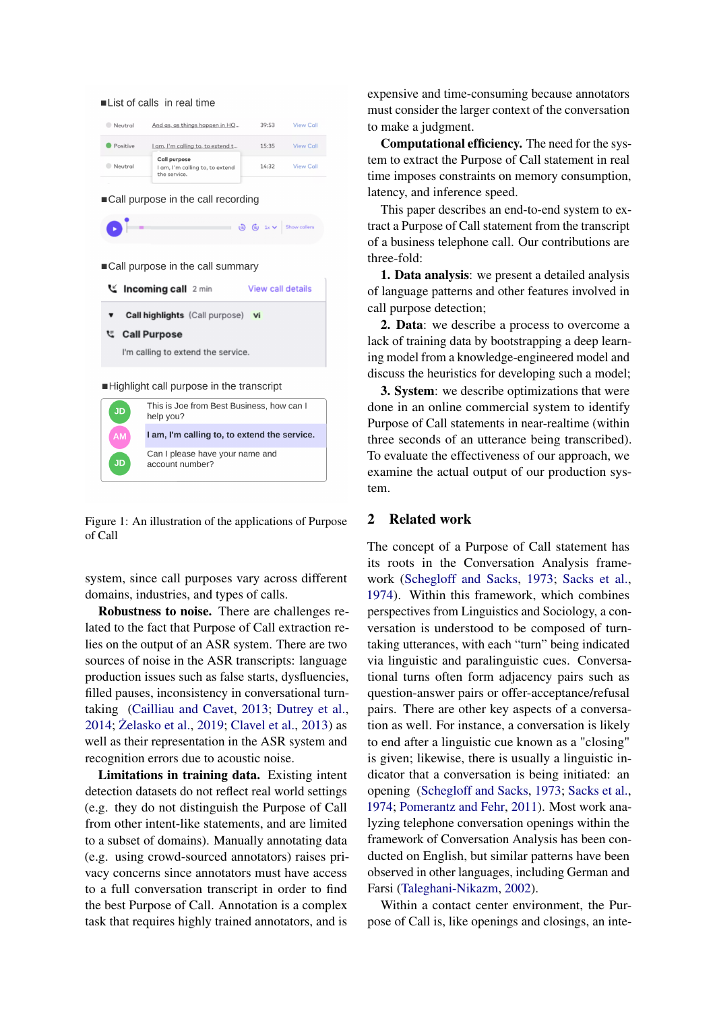<span id="page-1-0"></span>

account number?

**JD** 

Figure 1: An illustration of the applications of Purpose of Call

system, since call purposes vary across different domains, industries, and types of calls.

Robustness to noise. There are challenges related to the fact that Purpose of Call extraction relies on the output of an ASR system. There are two sources of noise in the ASR transcripts: language production issues such as false starts, dysfluencies, filled pauses, inconsistency in conversational turntaking [\(Cailliau and Cavet,](#page-6-0) [2013;](#page-6-0) [Dutrey et al.,](#page-6-1) [2014;](#page-6-1) [Zelasko et al.](#page-7-0), [2019;](#page-7-0) [Clavel et al.,](#page-6-2) [2013\)](#page-6-2) as well as their representation in the ASR system and recognition errors due to acoustic noise.

Limitations in training data. Existing intent detection datasets do not reflect real world settings (e.g. they do not distinguish the Purpose of Call from other intent-like statements, and are limited to a subset of domains). Manually annotating data (e.g. using crowd-sourced annotators) raises privacy concerns since annotators must have access to a full conversation transcript in order to find the best Purpose of Call. Annotation is a complex task that requires highly trained annotators, and is

expensive and time-consuming because annotators must consider the larger context of the conversation to make a judgment.

Computational efficiency. The need for the system to extract the Purpose of Call statement in real time imposes constraints on memory consumption, latency, and inference speed.

This paper describes an end-to-end system to extract a Purpose of Call statement from the transcript of a business telephone call. Our contributions are three-fold:

1. Data analysis: we present a detailed analysis of language patterns and other features involved in call purpose detection;

2. Data: we describe a process to overcome a lack of training data by bootstrapping a deep learning model from a knowledge-engineered model and discuss the heuristics for developing such a model;

3. System: we describe optimizations that were done in an online commercial system to identify Purpose of Call statements in near-realtime (within three seconds of an utterance being transcribed). To evaluate the effectiveness of our approach, we examine the actual output of our production system.

## 2 Related work

The concept of a Purpose of Call statement has its roots in the Conversation Analysis framework [\(Schegloff and Sacks,](#page-6-3) [1973;](#page-6-3) [Sacks et al.,](#page-6-4) [1974\)](#page-6-4). Within this framework, which combines perspectives from Linguistics and Sociology, a conversation is understood to be composed of turntaking utterances, with each "turn" being indicated via linguistic and paralinguistic cues. Conversational turns often form adjacency pairs such as question-answer pairs or offer-acceptance/refusal pairs. There are other key aspects of a conversation as well. For instance, a conversation is likely to end after a linguistic cue known as a "closing" is given; likewise, there is usually a linguistic indicator that a conversation is being initiated: an opening [\(Schegloff and Sacks,](#page-6-3) [1973;](#page-6-3) [Sacks et al.,](#page-6-4) [1974;](#page-6-4) [Pomerantz and Fehr,](#page-6-5) [2011\)](#page-6-5). Most work analyzing telephone conversation openings within the framework of Conversation Analysis has been conducted on English, but similar patterns have been observed in other languages, including German and Farsi [\(Taleghani-Nikazm,](#page-7-1) [2002\)](#page-7-1).

Within a contact center environment, the Purpose of Call is, like openings and closings, an inte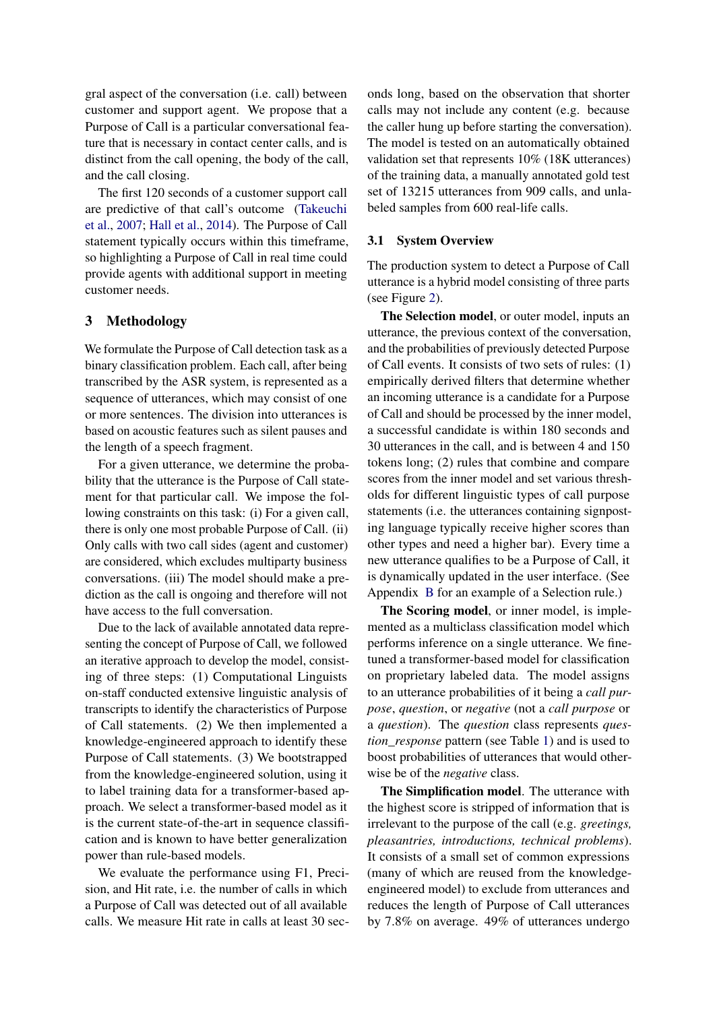gral aspect of the conversation (i.e. call) between customer and support agent. We propose that a Purpose of Call is a particular conversational feature that is necessary in contact center calls, and is distinct from the call opening, the body of the call, and the call closing.

The first 120 seconds of a customer support call are predictive of that call's outcome [\(Takeuchi](#page-7-2) [et al.,](#page-7-2) [2007;](#page-7-2) [Hall et al.,](#page-6-6) [2014\)](#page-6-6). The Purpose of Call statement typically occurs within this timeframe, so highlighting a Purpose of Call in real time could provide agents with additional support in meeting customer needs.

### 3 Methodology

We formulate the Purpose of Call detection task as a binary classification problem. Each call, after being transcribed by the ASR system, is represented as a sequence of utterances, which may consist of one or more sentences. The division into utterances is based on acoustic features such as silent pauses and the length of a speech fragment.

For a given utterance, we determine the probability that the utterance is the Purpose of Call statement for that particular call. We impose the following constraints on this task: (i) For a given call, there is only one most probable Purpose of Call. (ii) Only calls with two call sides (agent and customer) are considered, which excludes multiparty business conversations. (iii) The model should make a prediction as the call is ongoing and therefore will not have access to the full conversation.

Due to the lack of available annotated data representing the concept of Purpose of Call, we followed an iterative approach to develop the model, consisting of three steps: (1) Computational Linguists on-staff conducted extensive linguistic analysis of transcripts to identify the characteristics of Purpose of Call statements. (2) We then implemented a knowledge-engineered approach to identify these Purpose of Call statements. (3) We bootstrapped from the knowledge-engineered solution, using it to label training data for a transformer-based approach. We select a transformer-based model as it is the current state-of-the-art in sequence classification and is known to have better generalization power than rule-based models.

We evaluate the performance using F1, Precision, and Hit rate, i.e. the number of calls in which a Purpose of Call was detected out of all available calls. We measure Hit rate in calls at least 30 seconds long, based on the observation that shorter calls may not include any content (e.g. because the caller hung up before starting the conversation). The model is tested on an automatically obtained validation set that represents 10% (18K utterances) of the training data, a manually annotated gold test set of 13215 utterances from 909 calls, and unlabeled samples from 600 real-life calls.

#### <span id="page-2-0"></span>3.1 System Overview

The production system to detect a Purpose of Call utterance is a hybrid model consisting of three parts (see Figure [2\)](#page-3-0).

The Selection model, or outer model, inputs an utterance, the previous context of the conversation, and the probabilities of previously detected Purpose of Call events. It consists of two sets of rules: (1) empirically derived filters that determine whether an incoming utterance is a candidate for a Purpose of Call and should be processed by the inner model, a successful candidate is within 180 seconds and 30 utterances in the call, and is between 4 and 150 tokens long; (2) rules that combine and compare scores from the inner model and set various thresholds for different linguistic types of call purpose statements (i.e. the utterances containing signposting language typically receive higher scores than other types and need a higher bar). Every time a new utterance qualifies to be a Purpose of Call, it is dynamically updated in the user interface. (See Appendix [B](#page-7-3) for an example of a Selection rule.)

The Scoring model, or inner model, is implemented as a multiclass classification model which performs inference on a single utterance. We finetuned a transformer-based model for classification on proprietary labeled data. The model assigns to an utterance probabilities of it being a *call purpose*, *question*, or *negative* (not a *call purpose* or a *question*). The *question* class represents *question\_response* pattern (see Table [1\)](#page-4-0) and is used to boost probabilities of utterances that would otherwise be of the *negative* class.

The Simplification model. The utterance with the highest score is stripped of information that is irrelevant to the purpose of the call (e.g. *greetings, pleasantries, introductions, technical problems*). It consists of a small set of common expressions (many of which are reused from the knowledgeengineered model) to exclude from utterances and reduces the length of Purpose of Call utterances by 7.8% on average. 49% of utterances undergo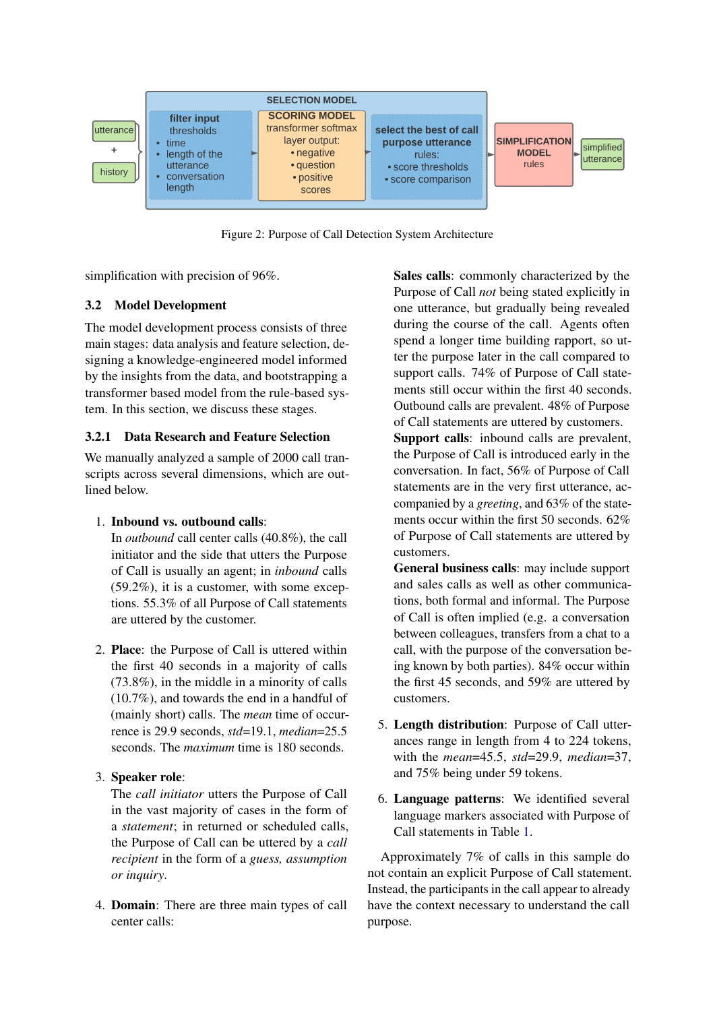<span id="page-3-0"></span>

Figure 2: Purpose of Call Detection System Architecture

simplification with precision of 96%.

### 3.2 Model Development

The model development process consists of three main stages: data analysis and feature selection, designing a knowledge-engineered model informed by the insights from the data, and bootstrapping a transformer based model from the rule-based system. In this section, we discuss these stages.

### <span id="page-3-1"></span>3.2.1 Data Research and Feature Selection

We manually analyzed a sample of 2000 call transcripts across several dimensions, which are outlined below.

### 1. Inbound vs. outbound calls:

In *outbound* call center calls (40.8%), the call initiator and the side that utters the Purpose of Call is usually an agent; in *inbound* calls (59.2%), it is a customer, with some exceptions. 55.3% of all Purpose of Call statements are uttered by the customer.

- 2. Place: the Purpose of Call is uttered within the first 40 seconds in a majority of calls (73.8%), in the middle in a minority of calls (10.7%), and towards the end in a handful of (mainly short) calls. The *mean* time of occurrence is 29.9 seconds, *std*=19.1, *median*=25.5 seconds. The *maximum* time is 180 seconds.
- 3. Speaker role:

The *call initiator* utters the Purpose of Call in the vast majority of cases in the form of a *statement*; in returned or scheduled calls, the Purpose of Call can be uttered by a *call recipient* in the form of a *guess, assumption or inquiry*.

4. Domain: There are three main types of call center calls:

Sales calls: commonly characterized by the Purpose of Call *not* being stated explicitly in one utterance, but gradually being revealed during the course of the call. Agents often spend a longer time building rapport, so utter the purpose later in the call compared to support calls. 74% of Purpose of Call statements still occur within the first 40 seconds. Outbound calls are prevalent. 48% of Purpose of Call statements are uttered by customers.

Support calls: inbound calls are prevalent, the Purpose of Call is introduced early in the conversation. In fact, 56% of Purpose of Call statements are in the very first utterance, accompanied by a *greeting*, and 63% of the statements occur within the first 50 seconds. 62% of Purpose of Call statements are uttered by customers.

General business calls: may include support and sales calls as well as other communications, both formal and informal. The Purpose of Call is often implied (e.g. a conversation between colleagues, transfers from a chat to a call, with the purpose of the conversation being known by both parties). 84% occur within the first 45 seconds, and 59% are uttered by customers.

- 5. Length distribution: Purpose of Call utterances range in length from 4 to 224 tokens, with the *mean*=45.5, *std*=29.9, *median*=37, and 75% being under 59 tokens.
- 6. Language patterns: We identified several language markers associated with Purpose of Call statements in Table [1.](#page-4-0)

Approximately 7% of calls in this sample do not contain an explicit Purpose of Call statement. Instead, the participants in the call appear to already have the context necessary to understand the call purpose.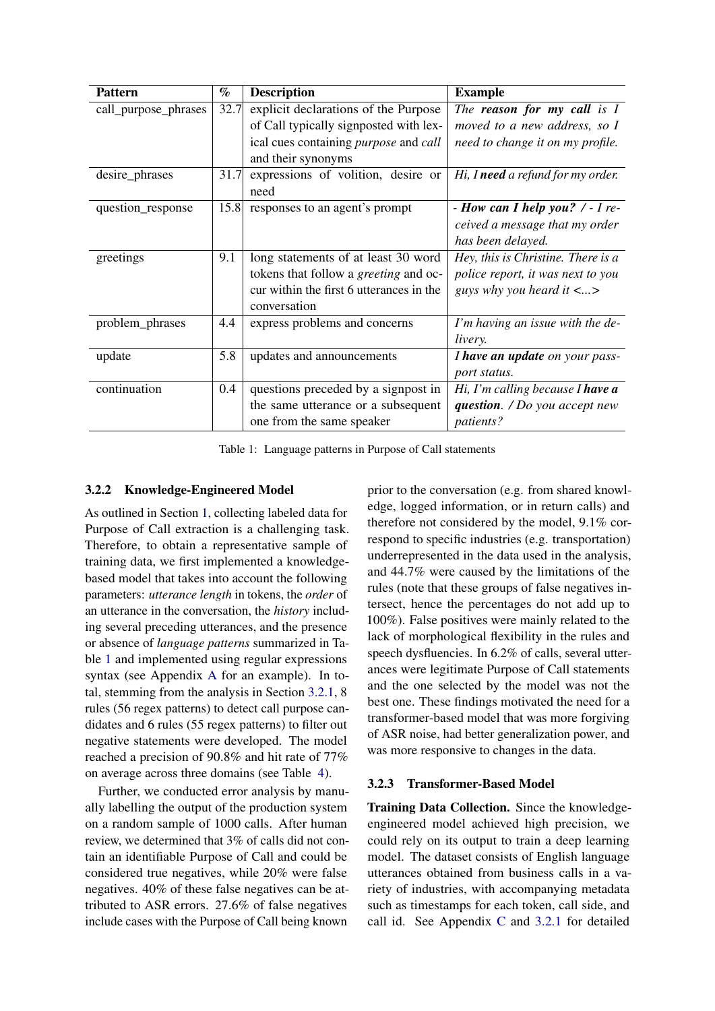<span id="page-4-0"></span>

| <b>Pattern</b>       | $\%$ | <b>Description</b>                                  | <b>Example</b>                           |
|----------------------|------|-----------------------------------------------------|------------------------------------------|
| call_purpose_phrases | 32.7 | explicit declarations of the Purpose                | The <b>reason</b> for my call is I       |
|                      |      | of Call typically signposted with lex-              | moved to a new address, so I             |
|                      |      | ical cues containing <i>purpose</i> and <i>call</i> | need to change it on my profile.         |
|                      |      | and their synonyms                                  |                                          |
| desire_phrases       | 31.7 | expressions of volition, desire or                  | Hi, I need a refund for my order.        |
|                      |      | need                                                |                                          |
| question_response    | 15.8 | responses to an agent's prompt                      | - How can I help you? $\ell$ - I re-     |
|                      |      |                                                     | ceived a message that my order           |
|                      |      |                                                     | has been delayed.                        |
| greetings            | 9.1  | long statements of at least 30 word                 | Hey, this is Christine. There is a       |
|                      |      | tokens that follow a greeting and oc-               | police report, it was next to you        |
|                      |      | cur within the first 6 utterances in the            | guys why you heard it $\langle  \rangle$ |
|                      |      | conversation                                        |                                          |
| problem_phrases      | 4.4  | express problems and concerns                       | I'm having an issue with the de-         |
|                      |      |                                                     | livery.                                  |
| update               | 5.8  | updates and announcements                           | I have an update on your pass-           |
|                      |      |                                                     | port status.                             |
| continuation         | 0.4  | questions preceded by a signpost in                 | Hi, I'm calling because I have a         |
|                      |      | the same utterance or a subsequent                  | question. $\sqrt{D}$ you accept new      |
|                      |      | one from the same speaker                           | patients?                                |

Table 1: Language patterns in Purpose of Call statements

### <span id="page-4-1"></span>3.2.2 Knowledge-Engineered Model

As outlined in Section [1,](#page-0-1) collecting labeled data for Purpose of Call extraction is a challenging task. Therefore, to obtain a representative sample of training data, we first implemented a knowledgebased model that takes into account the following parameters: *utterance length* in tokens, the *order* of an utterance in the conversation, the *history* including several preceding utterances, and the presence or absence of *language patterns* summarized in Table [1](#page-4-0) and implemented using regular expressions syntax (see Appendix [A](#page-7-4) for an example). In total, stemming from the analysis in Section [3.2.1,](#page-3-1) 8 rules (56 regex patterns) to detect call purpose candidates and 6 rules (55 regex patterns) to filter out negative statements were developed. The model reached a precision of 90.8% and hit rate of 77% on average across three domains (see Table [4\)](#page-5-0).

Further, we conducted error analysis by manually labelling the output of the production system on a random sample of 1000 calls. After human review, we determined that 3% of calls did not contain an identifiable Purpose of Call and could be considered true negatives, while 20% were false negatives. 40% of these false negatives can be attributed to ASR errors. 27.6% of false negatives include cases with the Purpose of Call being known

prior to the conversation (e.g. from shared knowledge, logged information, or in return calls) and therefore not considered by the model, 9.1% correspond to specific industries (e.g. transportation) underrepresented in the data used in the analysis, and 44.7% were caused by the limitations of the rules (note that these groups of false negatives intersect, hence the percentages do not add up to 100%). False positives were mainly related to the lack of morphological flexibility in the rules and speech dysfluencies. In 6.2% of calls, several utterances were legitimate Purpose of Call statements and the one selected by the model was not the best one. These findings motivated the need for a transformer-based model that was more forgiving of ASR noise, had better generalization power, and was more responsive to changes in the data.

### 3.2.3 Transformer-Based Model

Training Data Collection. Since the knowledgeengineered model achieved high precision, we could rely on its output to train a deep learning model. The dataset consists of English language utterances obtained from business calls in a variety of industries, with accompanying metadata such as timestamps for each token, call side, and call id. See Appendix [C](#page-7-5) and [3.2.1](#page-3-1) for detailed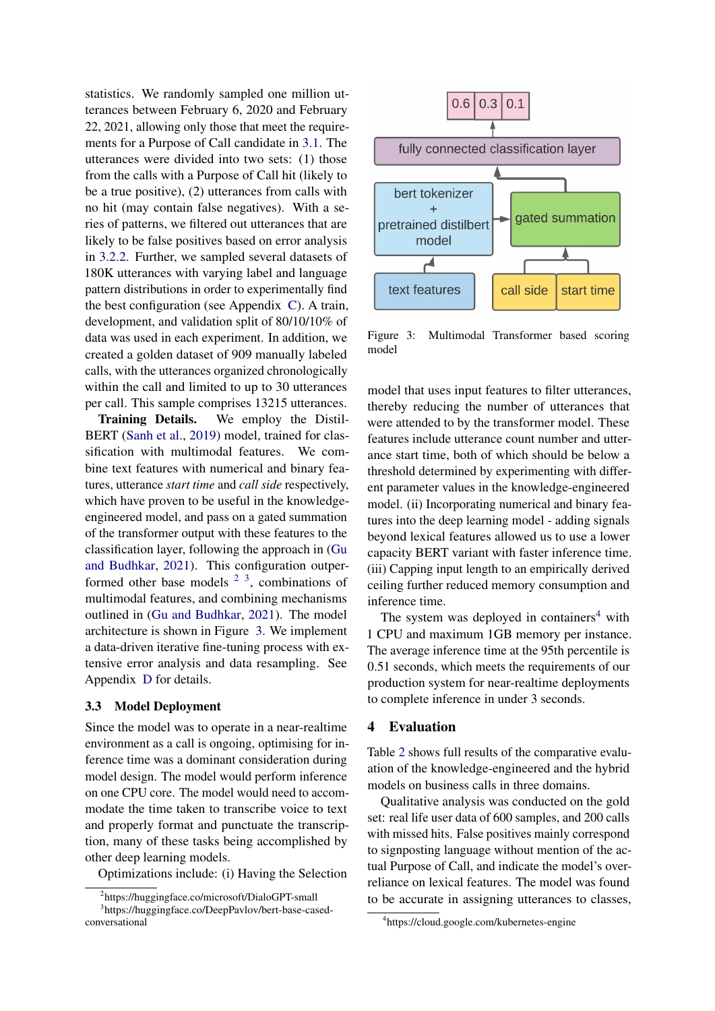statistics. We randomly sampled one million utterances between February 6, 2020 and February 22, 2021, allowing only those that meet the requirements for a Purpose of Call candidate in [3.1.](#page-2-0) The utterances were divided into two sets: (1) those from the calls with a Purpose of Call hit (likely to be a true positive), (2) utterances from calls with no hit (may contain false negatives). With a series of patterns, we filtered out utterances that are likely to be false positives based on error analysis in [3.2.2.](#page-4-1) Further, we sampled several datasets of 180K utterances with varying label and language pattern distributions in order to experimentally find the best configuration (see Appendix [C\)](#page-7-5). A train, development, and validation split of 80/10/10% of data was used in each experiment. In addition, we created a golden dataset of 909 manually labeled calls, with the utterances organized chronologically within the call and limited to up to 30 utterances per call. This sample comprises 13215 utterances.

Training Details. We employ the Distil-BERT [\(Sanh et al.,](#page-6-7) [2019\)](#page-6-7) model, trained for classification with multimodal features. We combine text features with numerical and binary features, utterance *start time* and *call side* respectively, which have proven to be useful in the knowledgeengineered model, and pass on a gated summation of the transformer output with these features to the classification layer, following the approach in [\(Gu](#page-6-8) [and Budhkar,](#page-6-8) [2021\)](#page-6-8). This configuration outperformed other base models  $2<sup>3</sup>$  $2<sup>3</sup>$  $2<sup>3</sup>$  $2<sup>3</sup>$ , combinations of multimodal features, and combining mechanisms outlined in [\(Gu and Budhkar,](#page-6-8) [2021\)](#page-6-8). The model architecture is shown in Figure [3.](#page-5-3) We implement a data-driven iterative fine-tuning process with extensive error analysis and data resampling. See Appendix [D](#page-7-6) for details.

#### 3.3 Model Deployment

Since the model was to operate in a near-realtime environment as a call is ongoing, optimising for inference time was a dominant consideration during model design. The model would perform inference on one CPU core. The model would need to accommodate the time taken to transcribe voice to text and properly format and punctuate the transcription, many of these tasks being accomplished by other deep learning models.

Optimizations include: (i) Having the Selection

<span id="page-5-3"></span>

Figure 3: Multimodal Transformer based scoring model

model that uses input features to filter utterances, thereby reducing the number of utterances that were attended to by the transformer model. These features include utterance count number and utterance start time, both of which should be below a threshold determined by experimenting with different parameter values in the knowledge-engineered model. (ii) Incorporating numerical and binary features into the deep learning model - adding signals beyond lexical features allowed us to use a lower capacity BERT variant with faster inference time. (iii) Capping input length to an empirically derived ceiling further reduced memory consumption and inference time.

The system was deployed in containers<sup>[4](#page-5-4)</sup> with 1 CPU and maximum 1GB memory per instance. The average inference time at the 95th percentile is 0.51 seconds, which meets the requirements of our production system for near-realtime deployments to complete inference in under 3 seconds.

#### <span id="page-5-0"></span>4 Evaluation

Table [2](#page-6-9) shows full results of the comparative evaluation of the knowledge-engineered and the hybrid models on business calls in three domains.

Qualitative analysis was conducted on the gold set: real life user data of 600 samples, and 200 calls with missed hits. False positives mainly correspond to signposting language without mention of the actual Purpose of Call, and indicate the model's overreliance on lexical features. The model was found to be accurate in assigning utterances to classes,

<span id="page-5-2"></span><span id="page-5-1"></span><sup>2</sup> https://huggingface.co/microsoft/DialoGPT-small

<sup>3</sup> https://huggingface.co/DeepPavlov/bert-base-casedconversational

<span id="page-5-4"></span><sup>4</sup> https://cloud.google.com/kubernetes-engine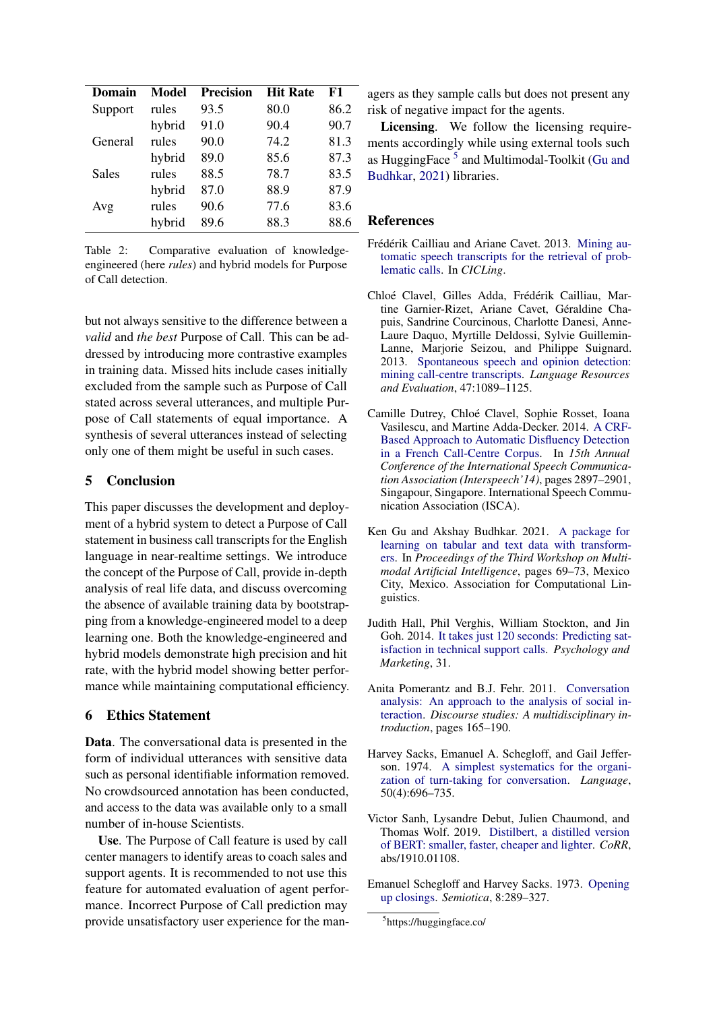<span id="page-6-9"></span>

| Domain  | Model  | <b>Precision</b> | <b>Hit Rate</b> | F1   |
|---------|--------|------------------|-----------------|------|
| Support | rules  | 93.5             | 80.0            | 86.2 |
|         | hybrid | 91.0             | 90.4            | 90.7 |
| General | rules  | 90.0             | 74.2            | 81.3 |
|         | hybrid | 89.0             | 85.6            | 87.3 |
| Sales   | rules  | 88.5             | 78.7            | 83.5 |
|         | hybrid | 87.0             | 88.9            | 87.9 |
| Avg     | rules  | 90.6             | 77.6            | 83.6 |
|         | hybrid | 89.6             | 88.3            | 88.6 |

Table 2: Comparative evaluation of knowledgeengineered (here *rules*) and hybrid models for Purpose of Call detection.

but not always sensitive to the difference between a *valid* and *the best* Purpose of Call. This can be addressed by introducing more contrastive examples in training data. Missed hits include cases initially excluded from the sample such as Purpose of Call stated across several utterances, and multiple Purpose of Call statements of equal importance. A synthesis of several utterances instead of selecting only one of them might be useful in such cases.

# 5 Conclusion

This paper discusses the development and deployment of a hybrid system to detect a Purpose of Call statement in business call transcripts for the English language in near-realtime settings. We introduce the concept of the Purpose of Call, provide in-depth analysis of real life data, and discuss overcoming the absence of available training data by bootstrapping from a knowledge-engineered model to a deep learning one. Both the knowledge-engineered and hybrid models demonstrate high precision and hit rate, with the hybrid model showing better performance while maintaining computational efficiency.

# 6 Ethics Statement

Data. The conversational data is presented in the form of individual utterances with sensitive data such as personal identifiable information removed. No crowdsourced annotation has been conducted, and access to the data was available only to a small number of in-house Scientists.

Use. The Purpose of Call feature is used by call center managers to identify areas to coach sales and support agents. It is recommended to not use this feature for automated evaluation of agent performance. Incorrect Purpose of Call prediction may provide unsatisfactory user experience for the managers as they sample calls but does not present any risk of negative impact for the agents.

Licensing. We follow the licensing requirements accordingly while using external tools such as HuggingFace<sup>[5](#page-6-10)</sup> and Multimodal-Toolkit [\(Gu and](#page-6-8) [Budhkar,](#page-6-8) [2021\)](#page-6-8) libraries.

## References

- <span id="page-6-0"></span>Frédérik Cailliau and Ariane Cavet. 2013. [Mining au](https://doi.org/https://doi.org/10.1007/978-3-642-37256-8_8)[tomatic speech transcripts for the retrieval of prob](https://doi.org/https://doi.org/10.1007/978-3-642-37256-8_8)[lematic calls.](https://doi.org/https://doi.org/10.1007/978-3-642-37256-8_8) In *CICLing*.
- <span id="page-6-2"></span>Chloé Clavel, Gilles Adda, Frédérik Cailliau, Martine Garnier-Rizet, Ariane Cavet, Géraldine Chapuis, Sandrine Courcinous, Charlotte Danesi, Anne-Laure Daquo, Myrtille Deldossi, Sylvie Guillemin-Lanne, Marjorie Seizou, and Philippe Suignard. 2013. [Spontaneous speech and opinion detection:](https://doi.org/10.1007/s10579-013-9224-5) [mining call-centre transcripts.](https://doi.org/10.1007/s10579-013-9224-5) *Language Resources and Evaluation*, 47:1089–1125.
- <span id="page-6-1"></span>Camille Dutrey, Chloé Clavel, Sophie Rosset, Ioana Vasilescu, and Martine Adda-Decker. 2014. [A CRF-](https://hal.archives-ouvertes.fr/hal-01134812)[Based Approach to Automatic Disfluency Detection](https://hal.archives-ouvertes.fr/hal-01134812) [in a French Call-Centre Corpus.](https://hal.archives-ouvertes.fr/hal-01134812) In *15th Annual Conference of the International Speech Communication Association (Interspeech'14)*, pages 2897–2901, Singapour, Singapore. International Speech Communication Association (ISCA).
- <span id="page-6-8"></span>Ken Gu and Akshay Budhkar. 2021. [A package for](https://doi.org/10.18653/v1/2021.maiworkshop-1.10) [learning on tabular and text data with transform](https://doi.org/10.18653/v1/2021.maiworkshop-1.10)[ers.](https://doi.org/10.18653/v1/2021.maiworkshop-1.10) In *Proceedings of the Third Workshop on Multimodal Artificial Intelligence*, pages 69–73, Mexico City, Mexico. Association for Computational Linguistics.
- <span id="page-6-6"></span>Judith Hall, Phil Verghis, William Stockton, and Jin Goh. 2014. [It takes just 120 seconds: Predicting sat](https://doi.org/10.1002/mar.20711)[isfaction in technical support calls.](https://doi.org/10.1002/mar.20711) *Psychology and Marketing*, 31.
- <span id="page-6-5"></span>Anita Pomerantz and B.J. Fehr. 2011. [Conversation](https://doi.org/10.4135/9781446289068.n9) [analysis: An approach to the analysis of social in](https://doi.org/10.4135/9781446289068.n9)[teraction.](https://doi.org/10.4135/9781446289068.n9) *Discourse studies: A multidisciplinary introduction*, pages 165–190.
- <span id="page-6-4"></span>Harvey Sacks, Emanuel A. Schegloff, and Gail Jefferson. 1974. [A simplest systematics for the organi](http://www.jstor.org/stable/412243)[zation of turn-taking for conversation.](http://www.jstor.org/stable/412243) *Language*, 50(4):696–735.
- <span id="page-6-7"></span>Victor Sanh, Lysandre Debut, Julien Chaumond, and Thomas Wolf. 2019. [Distilbert, a distilled version](http://arxiv.org/abs/1910.01108) [of BERT: smaller, faster, cheaper and lighter.](http://arxiv.org/abs/1910.01108) *CoRR*, abs/1910.01108.
- <span id="page-6-3"></span>Emanuel Schegloff and Harvey Sacks. 1973. [Opening](https://doi.org/10.1515/semi.1973.8.4.289) [up closings.](https://doi.org/10.1515/semi.1973.8.4.289) *Semiotica*, 8:289–327.

<span id="page-6-10"></span><sup>5</sup> https://huggingface.co/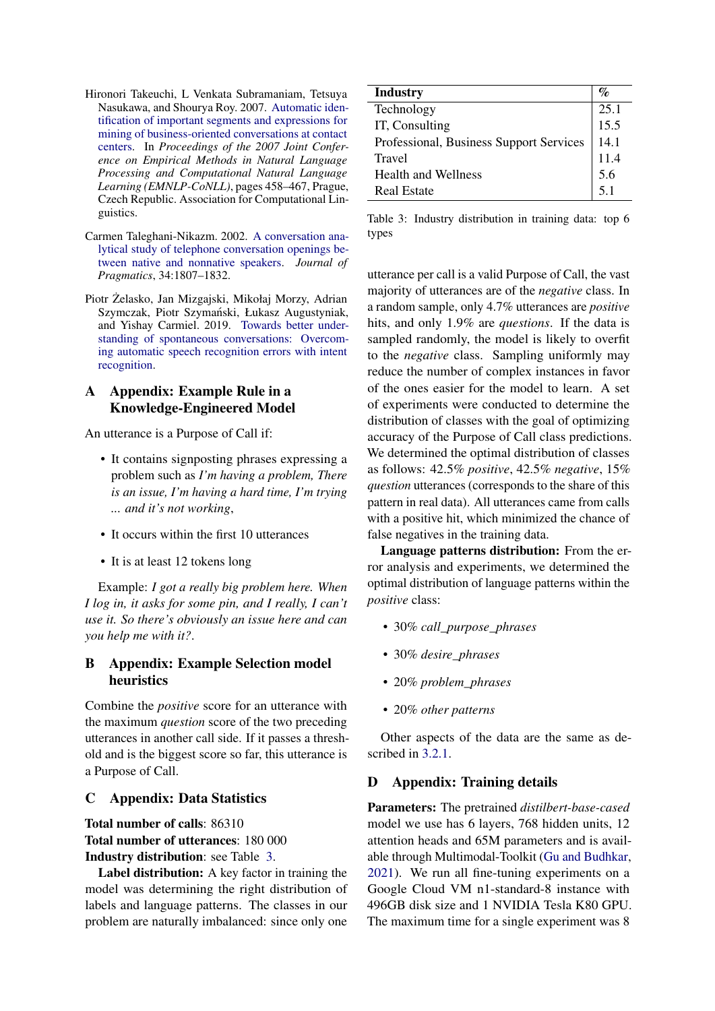- <span id="page-7-2"></span>Hironori Takeuchi, L Venkata Subramaniam, Tetsuya Nasukawa, and Shourya Roy. 2007. [Automatic iden](https://aclanthology.org/D07-1048)[tification of important segments and expressions for](https://aclanthology.org/D07-1048) [mining of business-oriented conversations at contact](https://aclanthology.org/D07-1048) [centers.](https://aclanthology.org/D07-1048) In *Proceedings of the 2007 Joint Conference on Empirical Methods in Natural Language Processing and Computational Natural Language Learning (EMNLP-CoNLL)*, pages 458–467, Prague, Czech Republic. Association for Computational Linguistics.
- <span id="page-7-1"></span>Carmen Taleghani-Nikazm. 2002. [A conversation ana](https://doi.org/10.1016/S0378-2166(02)00049-8)[lytical study of telephone conversation openings be](https://doi.org/10.1016/S0378-2166(02)00049-8)[tween native and nonnative speakers.](https://doi.org/10.1016/S0378-2166(02)00049-8) *Journal of Pragmatics*, 34:1807–1832.
- <span id="page-7-0"></span>Piotr Zelasko, Jan Mizgajski, Mikołaj Morzy, Adrian ˙ Szymczak, Piotr Szymański, Łukasz Augustyniak, and Yishay Carmiel. 2019. [Towards better under](http://arxiv.org/abs/1908.07888)[standing of spontaneous conversations: Overcom](http://arxiv.org/abs/1908.07888)[ing automatic speech recognition errors with intent](http://arxiv.org/abs/1908.07888) [recognition.](http://arxiv.org/abs/1908.07888)

# <span id="page-7-4"></span>A Appendix: Example Rule in a Knowledge-Engineered Model

An utterance is a Purpose of Call if:

- It contains signposting phrases expressing a problem such as *I'm having a problem, There is an issue, I'm having a hard time, I'm trying ... and it's not working*,
- It occurs within the first 10 utterances
- It is at least 12 tokens long

Example: *I got a really big problem here. When I log in, it asks for some pin, and I really, I can't use it. So there's obviously an issue here and can you help me with it?*.

# <span id="page-7-3"></span>B Appendix: Example Selection model heuristics

Combine the *positive* score for an utterance with the maximum *question* score of the two preceding utterances in another call side. If it passes a threshold and is the biggest score so far, this utterance is a Purpose of Call.

# <span id="page-7-5"></span>C Appendix: Data Statistics

### Total number of calls: 86310

Total number of utterances: 180 000 Industry distribution: see Table [3.](#page-7-7)

Label distribution: A key factor in training the model was determining the right distribution of labels and language patterns. The classes in our problem are naturally imbalanced: since only one

<span id="page-7-7"></span>

| <b>Industry</b>                         | $\%$ |
|-----------------------------------------|------|
| Technology                              | 25.1 |
| IT, Consulting                          | 15.5 |
| Professional, Business Support Services | 14.1 |
| Travel                                  | 11.4 |
| <b>Health and Wellness</b>              | 5.6  |
| <b>Real Estate</b>                      | 5.1  |

Table 3: Industry distribution in training data: top 6 types

utterance per call is a valid Purpose of Call, the vast majority of utterances are of the *negative* class. In a random sample, only 4.7% utterances are *positive* hits, and only 1.9% are *questions*. If the data is sampled randomly, the model is likely to overfit to the *negative* class. Sampling uniformly may reduce the number of complex instances in favor of the ones easier for the model to learn. A set of experiments were conducted to determine the distribution of classes with the goal of optimizing accuracy of the Purpose of Call class predictions. We determined the optimal distribution of classes as follows: 42.5% *positive*, 42.5% *negative*, 15% *question* utterances (corresponds to the share of this pattern in real data). All utterances came from calls with a positive hit, which minimized the chance of false negatives in the training data.

Language patterns distribution: From the error analysis and experiments, we determined the optimal distribution of language patterns within the *positive* class:

- 30% *call\_purpose\_phrases*
- 30% *desire\_phrases*
- 20% *problem\_phrases*
- 20% *other patterns*

Other aspects of the data are the same as described in [3.2.1.](#page-3-1)

# <span id="page-7-6"></span>D Appendix: Training details

Parameters: The pretrained *distilbert-base-cased* model we use has 6 layers, 768 hidden units, 12 attention heads and 65M parameters and is available through Multimodal-Toolkit [\(Gu and Budhkar,](#page-6-8) [2021\)](#page-6-8). We run all fine-tuning experiments on a Google Cloud VM n1-standard-8 instance with 496GB disk size and 1 NVIDIA Tesla K80 GPU. The maximum time for a single experiment was 8